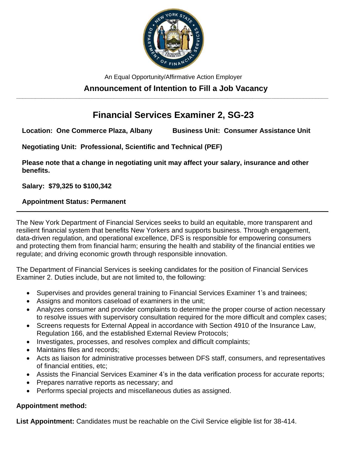

An Equal Opportunity/Affirmative Action Employer

#### **Announcement of Intention to Fill a Job Vacancy \_\_\_\_\_\_\_\_\_\_\_\_\_\_\_\_\_\_\_\_\_\_\_\_\_\_\_\_\_\_\_\_\_\_\_\_\_\_\_\_\_\_\_\_\_\_\_\_\_\_\_\_\_\_\_\_\_\_\_\_\_\_\_\_\_\_\_\_\_\_\_\_\_\_\_\_\_\_\_\_\_\_\_\_\_\_\_\_\_\_\_\_\_\_\_\_\_\_\_**

# **Financial Services Examiner 2, SG-23**

**Location: One Commerce Plaza, Albany Business Unit: Consumer Assistance Unit**

**Negotiating Unit: Professional, Scientific and Technical (PEF)**

**Please note that a change in negotiating unit may affect your salary, insurance and other benefits.**

**Salary: \$79,325 to \$100,342** 

### **Appointment Status: Permanent**

The New York Department of Financial Services seeks to build an equitable, more transparent and resilient financial system that benefits New Yorkers and supports business. Through engagement, data-driven regulation, and operational excellence, DFS is responsible for empowering consumers and protecting them from financial harm; ensuring the health and stability of the financial entities we regulate; and driving economic growth through responsible innovation.

**\_\_\_\_\_\_\_\_\_\_\_\_\_\_\_\_\_\_\_\_\_\_\_\_\_\_\_\_\_\_\_\_\_\_\_\_\_\_\_\_\_\_\_\_\_\_\_\_\_\_\_\_\_\_\_\_\_\_\_\_\_\_\_\_\_\_\_\_\_\_\_\_\_\_\_\_\_\_\_\_\_\_\_\_\_\_\_\_\_\_\_\_\_\_\_\_\_\_\_**

The Department of Financial Services is seeking candidates for the position of Financial Services Examiner 2. Duties include, but are not limited to, the following:

- Supervises and provides general training to Financial Services Examiner 1's and trainees;
- Assigns and monitors caseload of examiners in the unit;
- Analyzes consumer and provider complaints to determine the proper course of action necessary to resolve issues with supervisory consultation required for the more difficult and complex cases;
- Screens requests for External Appeal in accordance with Section 4910 of the Insurance Law, Regulation 166, and the established External Review Protocols;
- Investigates, processes, and resolves complex and difficult complaints;
- Maintains files and records:
- Acts as liaison for administrative processes between DFS staff, consumers, and representatives of financial entities, etc;
- Assists the Financial Services Examiner 4's in the data verification process for accurate reports;
- Prepares narrative reports as necessary; and
- Performs special projects and miscellaneous duties as assigned.

## **Appointment method:**

**List Appointment:** Candidates must be reachable on the Civil Service eligible list for 38-414.